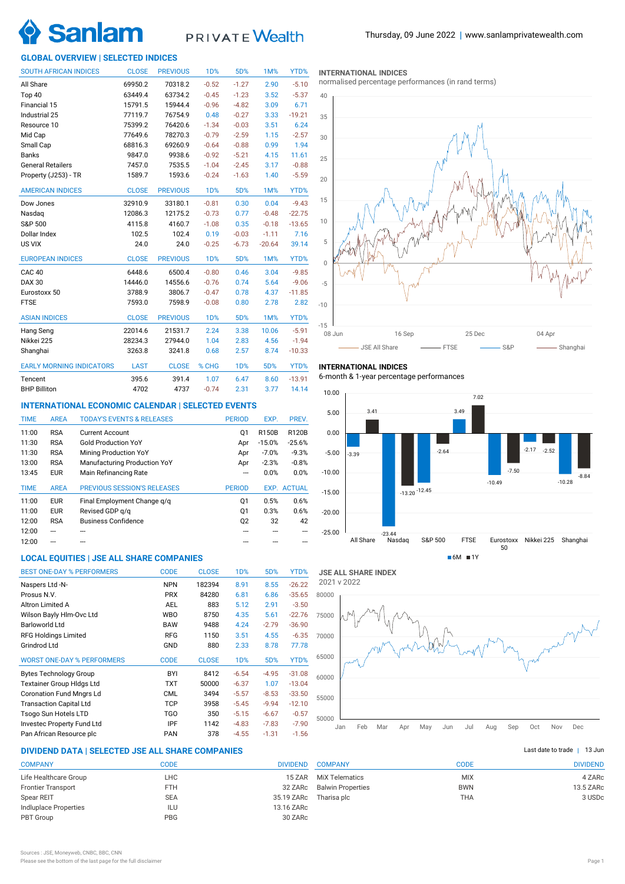

# PRIVATE Wealth

# **GLOBAL OVERVIEW | SELECTED INDICES**

| <b>SOUTH AFRICAN INDICES</b>    | <b>CLOSE</b> | <b>PREVIOUS</b> | <b>1D%</b>       | 5D%     | 1M%      | YTD%     |
|---------------------------------|--------------|-----------------|------------------|---------|----------|----------|
| All Share                       | 69950.2      | 70318.2         | $-0.52$          | $-1.27$ | 2.90     | $-5.10$  |
| Top 40                          | 63449.4      | 63734.2         | $-0.45$          | $-1.23$ | 3.52     | $-5.37$  |
| Financial 15                    | 15791.5      | 15944.4         | $-0.96$          | $-4.82$ | 3.09     | 6.71     |
| Industrial 25                   | 77119.7      | 76754.9         | 0.48             | $-0.27$ | 3.33     | $-19.21$ |
| Resource 10                     | 75399.2      | 76420.6         | $-1.34$          | $-0.03$ | 3.51     | 6.24     |
| Mid Cap                         | 77649.6      | 78270.3         | $-0.79$          | $-2.59$ | 1.15     | $-2.57$  |
| Small Cap                       | 68816.3      | 69260.9         | $-0.64$          | $-0.88$ | 0.99     | 1.94     |
| <b>Banks</b>                    | 9847.0       | 9938.6          | $-0.92$          | $-5.21$ | 4.15     | 11.61    |
| <b>General Retailers</b>        | 7457.0       | 7535.5          | $-1.04$          | $-2.45$ | 3.17     | $-0.88$  |
| Property (J253) - TR            | 1589.7       | 1593.6          | $-0.24$          | $-1.63$ | 1.40     | $-5.59$  |
| <b>AMERICAN INDICES</b>         | <b>CLOSE</b> | <b>PREVIOUS</b> | 1 <sub>D</sub> % | 5D%     | 1M%      | YTD%     |
| Dow Jones                       | 32910.9      | 33180.1         | $-0.81$          | 0.30    | 0.04     | $-9.43$  |
| Nasdag                          | 12086.3      | 12175.2         | $-0.73$          | 0.77    | $-0.48$  | $-22.75$ |
| S&P 500                         | 4115.8       | 4160.7          | $-1.08$          | 0.35    | $-0.18$  | $-13.65$ |
| Dollar Index                    | 102.5        | 102.4           | 0.19             | $-0.03$ | $-1.11$  | 7.16     |
| US VIX                          | 24.0         | 24.0            | $-0.25$          | $-6.73$ | $-20.64$ | 39.14    |
| <b>EUROPEAN INDICES</b>         | <b>CLOSE</b> | <b>PREVIOUS</b> | <b>1D%</b>       | 5D%     | 1M%      | YTD%     |
| CAC <sub>40</sub>               | 6448.6       | 6500.4          | $-0.80$          | 0.46    | 3.04     | $-9.85$  |
| <b>DAX 30</b>                   | 14446.0      | 14556.6         | $-0.76$          | 0.74    | 5.64     | $-9.06$  |
| Eurostoxx 50                    | 3788.9       | 3806.7          | $-0.47$          | 0.78    | 4.37     | $-11.85$ |
| <b>FTSE</b>                     | 7593.0       | 7598.9          | $-0.08$          | 0.80    | 2.78     | 2.82     |
| <b>ASIAN INDICES</b>            | <b>CLOSE</b> | <b>PREVIOUS</b> | <b>1D%</b>       | 5D%     | 1M%      | YTD%     |
| Hang Seng                       | 22014.6      | 21531.7         | 2.24             | 3.38    | 10.06    | $-5.91$  |
| Nikkei 225                      | 28234.3      | 27944.0         | 1.04             | 2.83    | 4.56     | $-1.94$  |
| Shanghai                        | 3263.8       | 3241.8          | 0.68             | 2.57    | 8.74     | $-10.33$ |
| <b>EARLY MORNING INDICATORS</b> | <b>LAST</b>  | <b>CLOSE</b>    | % CHG            | 1D%     | 5D%      | YTD%     |
| Tencent                         | 395.6        | 391.4           | 1.07             | 6.47    | 8.60     | $-13.91$ |
| <b>BHP Billiton</b>             | 4702         | 4737            | $-0.74$          | 2.31    | 3.77     | 14.14    |

### **INTERNATIONAL ECONOMIC CALENDAR | SELECTED EVENTS**

| <b>TIME</b> | <b>AREA</b> | <b>TODAY'S EVENTS &amp; RELEASES</b> | <b>PERIOD</b>  | EXP.     | PREV.              |
|-------------|-------------|--------------------------------------|----------------|----------|--------------------|
| 11:00       | <b>RSA</b>  | <b>Current Account</b>               | Q1             | R150B    | <b>R120B</b>       |
| 11:30       | <b>RSA</b>  | <b>Gold Production YoY</b>           | Apr            | $-15.0%$ | $-25.6%$           |
| 11:30       | <b>RSA</b>  | <b>Mining Production YoY</b>         | Apr            | $-7.0%$  | $-9.3%$            |
| 13:00       | <b>RSA</b>  | Manufacturing Production YoY         | Apr            | $-2.3%$  | $-0.8%$            |
| 13:45       | <b>EUR</b>  | Main Refinancing Rate                | ---            | 0.0%     | 0.0%               |
|             |             |                                      |                |          |                    |
| <b>TIME</b> | <b>AREA</b> | <b>PREVIOUS SESSION'S RELEASES</b>   | <b>PERIOD</b>  |          | <b>EXP. ACTUAL</b> |
| 11:00       | <b>EUR</b>  | Final Employment Change g/g          | Q1             | 0.5%     | 0.6%               |
| 11:00       | <b>EUR</b>  | Revised GDP q/q                      | 01             | 0.3%     | 0.6%               |
| 12:00       | <b>RSA</b>  | <b>Business Confidence</b>           | Q <sub>2</sub> | 32       | 42                 |
| 12:00       | ---         |                                      |                |          |                    |

# **LOCAL EQUITIES | JSE ALL SHARE COMPANIES**

| <b>BEST ONE-DAY % PERFORMERS</b>  | <b>CODE</b> | <b>CLOSE</b> | 1 <sub>D</sub> % | 5D%     | YTD%     |
|-----------------------------------|-------------|--------------|------------------|---------|----------|
| Naspers Ltd -N-                   | <b>NPN</b>  | 182394       | 8.91             | 8.55    | $-26.22$ |
| Prosus N.V.                       | <b>PRX</b>  | 84280        | 6.81             | 6.86    | $-35.65$ |
| Altron Limited A                  | <b>AEL</b>  | 883          | 5.12             | 2.91    | $-3.50$  |
| Wilson Bayly Hlm-Ovc Ltd          | <b>WBO</b>  | 8750         | 4.35             | 5.61    | $-22.76$ |
| <b>Barloworld Ltd</b>             | <b>BAW</b>  | 9488         | 4.24             | $-2.79$ | $-36.90$ |
| <b>RFG Holdings Limited</b>       | <b>RFG</b>  | 1150         | 3.51             | 4.55    | $-6.35$  |
| Grindrod Ltd                      | GND         | 880          | 2.33             | 8.78    | 77.78    |
| <b>WORST ONE-DAY % PERFORMERS</b> | <b>CODE</b> | <b>CLOSE</b> | 1 <sub>D</sub> % | 5D%     | YTD%     |
| <b>Bytes Technology Group</b>     | BYI         | 8412         | $-6.54$          | $-4.95$ | $-31.08$ |
| <b>Textainer Group Hidgs Ltd</b>  | <b>TXT</b>  | 50000        | $-6.37$          | 1.07    | $-13.04$ |
| <b>Coronation Fund Mngrs Ld</b>   | <b>CML</b>  | 3494         | $-5.57$          | $-8.53$ | $-33.50$ |
| <b>Transaction Capital Ltd</b>    | TCP         | 3958         | $-5.45$          | $-9.94$ | $-12.10$ |
| Tsogo Sun Hotels LTD              | TGO         | 350          | $-5.15$          | $-6.67$ | $-0.57$  |
| Investec Property Fund Ltd        | IPF         | 1142         | $-4.83$          | $-7.83$ | $-7.90$  |
| Pan African Resource plc          | PAN         | 378          | $-4.55$          | $-1.31$ | $-1.56$  |

# **DIVIDEND DATA | SELECTED JSE ALL SHARE COMPANIES |**

| <b>COMPANY</b>            | CODE       | <b>DIVIDEND</b> |
|---------------------------|------------|-----------------|
| Life Healthcare Group     | LHC        | 15 ZAR          |
| <b>Frontier Transport</b> | <b>FTH</b> | 32 ZARc         |
| Spear REIT                | <b>SEA</b> | 35.19 ZARc      |
| Indiuplace Properties     | ILU        | 13.16 ZARc      |
| PBT Group                 | <b>PBG</b> | 30 ZARc         |
|                           |            |                 |

#### **INTERNATIONAL INDICES**

normalised percentage performances (in rand terms)



### **INTERNATIONAL INDICES**

6-month & 1-year percentage performances





| Last date to trade $\ $ | 13 Jur |
|-------------------------|--------|
|                         |        |

| <b>COMPANY</b>           | CODE       | <b>DIVIDEND</b> |
|--------------------------|------------|-----------------|
| <b>MIX Telematics</b>    | <b>MIX</b> | 4 ZARc          |
| <b>Balwin Properties</b> | <b>BWN</b> | 13.5 ZARc       |
| Tharisa plc              | THA        | 3 USDc          |
|                          |            |                 |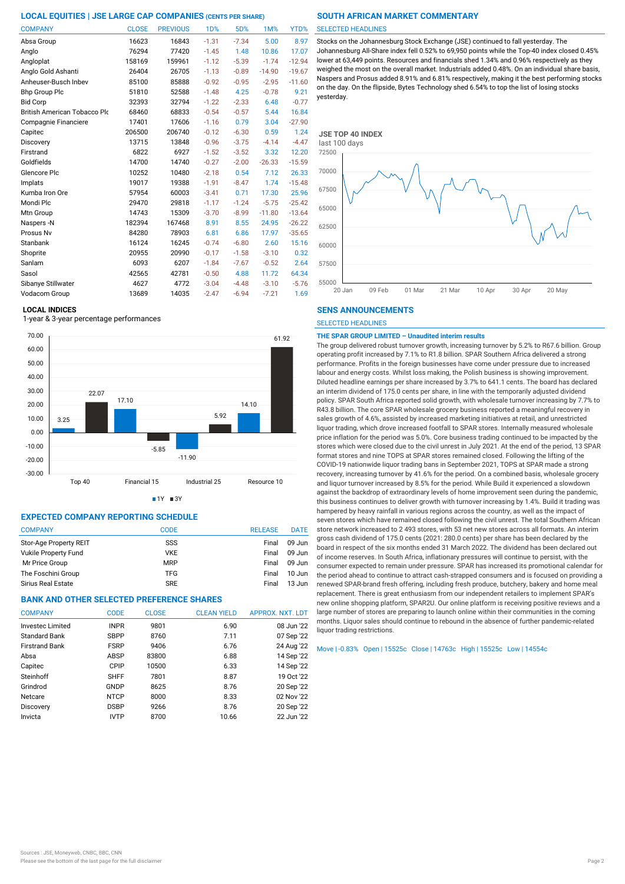| <b>COMPANY</b>               | <b>CLOSE</b> | <b>PREVIOUS</b> | 1 <sub>D</sub> % | 5D%     | 1M%      | YTD%     |
|------------------------------|--------------|-----------------|------------------|---------|----------|----------|
| Absa Group                   | 16623        | 16843           | $-1.31$          | $-7.34$ | 5.00     | 8.97     |
| Anglo                        | 76294        | 77420           | $-1.45$          | 1.48    | 10.86    | 17.07    |
| Angloplat                    | 158169       | 159961          | $-1.12$          | $-5.39$ | $-1.74$  | $-12.94$ |
| Anglo Gold Ashanti           | 26404        | 26705           | $-1.13$          | $-0.89$ | $-14.90$ | $-19.67$ |
| Anheuser-Busch Inbev         | 85100        | 85888           | $-0.92$          | $-0.95$ | $-2.95$  | $-11.60$ |
| <b>Bhp Group Plc</b>         | 51810        | 52588           | $-1.48$          | 4.25    | $-0.78$  | 9.21     |
| <b>Bid Corp</b>              | 32393        | 32794           | $-1.22$          | $-2.33$ | 6.48     | $-0.77$  |
| British American Tobacco Plo | 68460        | 68833           | $-0.54$          | $-0.57$ | 5.44     | 16.84    |
| Compagnie Financiere         | 17401        | 17606           | $-1.16$          | 0.79    | 3.04     | $-27.90$ |
| Capitec                      | 206500       | 206740          | $-0.12$          | $-6.30$ | 0.59     | 1.24     |
| Discovery                    | 13715        | 13848           | $-0.96$          | $-3.75$ | $-4.14$  | $-4.47$  |
| Firstrand                    | 6822         | 6927            | $-1.52$          | $-3.52$ | 3.32     | 12.20    |
| Goldfields                   | 14700        | 14740           | $-0.27$          | $-2.00$ | $-26.33$ | $-15.59$ |
| Glencore Plc                 | 10252        | 10480           | $-2.18$          | 0.54    | 7.12     | 26.33    |
| Implats                      | 19017        | 19388           | $-1.91$          | $-8.47$ | 1.74     | $-15.48$ |
| Kumba Iron Ore               | 57954        | 60003           | $-3.41$          | 0.71    | 17.30    | 25.96    |
| Mondi Plc                    | 29470        | 29818           | $-1.17$          | $-1.24$ | $-5.75$  | $-25.42$ |
| Mtn Group                    | 14743        | 15309           | $-3.70$          | $-8.99$ | $-11.80$ | $-13.64$ |
| Naspers -N                   | 182394       | 167468          | 8.91             | 8.55    | 24.95    | $-26.22$ |
| Prosus Nv                    | 84280        | 78903           | 6.81             | 6.86    | 17.97    | $-35.65$ |
| Stanbank                     | 16124        | 16245           | $-0.74$          | $-6.80$ | 2.60     | 15.16    |
| Shoprite                     | 20955        | 20990           | $-0.17$          | $-1.58$ | $-3.10$  | 0.32     |
| Sanlam                       | 6093         | 6207            | $-1.84$          | $-7.67$ | $-0.52$  | 2.64     |
| Sasol                        | 42565        | 42781           | $-0.50$          | 4.88    | 11.72    | 64.34    |
| Sibanye Stillwater           | 4627         | 4772            | $-3.04$          | $-4.48$ | $-3.10$  | $-5.76$  |
| Vodacom Group                | 13689        | 14035           | $-2.47$          | $-6.94$ | $-7.21$  | 1.69     |

### **LOCAL INDICES**

1-year & 3-year percentage performances





# **EXPECTED COMPANY REPORTING SCHEDULE**

| <b>COMPANY</b>              | CODE       | <b>RELEASE</b> | <b>DATE</b> |
|-----------------------------|------------|----------------|-------------|
| Stor-Age Property REIT      | SSS        | Final          | 09 Jun      |
| <b>Vukile Property Fund</b> | <b>VKE</b> | Final          | 09 Jun      |
| Mr Price Group              | <b>MRP</b> | Final          | 09 Jun      |
| The Foschini Group          | <b>TFG</b> | Final          | $10$ Jun    |
| <b>Sirius Real Estate</b>   | <b>SRE</b> | Final          | 13 Jun      |

# **BANK AND OTHER SELECTED PREFERENCE SHARES**

| <b>COMPANY</b>          | CODE        | <b>CLOSE</b> | <b>CLEAN YIELD</b> | APPROX. NXT. LDT |
|-------------------------|-------------|--------------|--------------------|------------------|
| <b>Invested Limited</b> | <b>INPR</b> | 9801         | 6.90               | 08 Jun '22       |
| Standard Bank           | <b>SBPP</b> | 8760         | 7.11               | 07 Sep '22       |
| <b>Firstrand Bank</b>   | <b>FSRP</b> | 9406         | 6.76               | 24 Aug '22       |
| Absa                    | <b>ABSP</b> | 83800        | 6.88               | 14 Sep '22       |
| Capitec                 | CPIP        | 10500        | 6.33               | 14 Sep '22       |
| Steinhoff               | <b>SHFF</b> | 7801         | 8.87               | 19 Oct '22       |
| Grindrod                | GNDP        | 8625         | 8.76               | 20 Sep '22       |
| Netcare                 | <b>NTCP</b> | 8000         | 8.33               | 02 Nov '22       |
| Discovery               | <b>DSBP</b> | 9266         | 8.76               | 20 Sep '22       |
| Invicta                 | <b>IVTP</b> | 8700         | 10.66              | 22 Jun '22       |

#### SELECTED HEADLINES

Stocks on the Johannesburg Stock Exchange (JSE) continued to fall yesterday. The Johannesburg All-Share index fell 0.52% to 69,950 points while the Top-40 index closed 0.45% lower at 63,449 points. Resources and financials shed 1.34% and 0.96% respectively as they weighed the most on the overall market. Industrials added 0.48%. On an individual share basis, Naspers and Prosus added 8.91% and 6.81% respectively, making it the best performing stocks on the day. On the flipside, Bytes Technology shed 6.54% to top the list of losing stocks yesterday.



### **SENS ANNOUNCEMENTS**

SELECTED HEADLINES

### **THE SPAR GROUP LIMITED – Unaudited interim results**

The group delivered robust turnover growth, increasing turnover by 5.2% to R67.6 billion. Group operating profit increased by 7.1% to R1.8 billion. SPAR Southern Africa delivered a strong performance. Profits in the foreign businesses have come under pressure due to increased labour and energy costs. Whilst loss making, the Polish business is showing improvement. Diluted headline earnings per share increased by 3.7% to 641.1 cents. The board has declared an interim dividend of 175.0 cents per share, in line with the temporarily adjusted dividend policy. SPAR South Africa reported solid growth, with wholesale turnover increasing by 7.7% to R43.8 billion. The core SPAR wholesale grocery business reported a meaningful recovery in sales growth of 4.6%, assisted by increased marketing initiatives at retail, and unrestricted liquor trading, which drove increased footfall to SPAR stores. Internally measured wholesale price inflation for the period was 5.0%. Core business trading continued to be impacted by the stores which were closed due to the civil unrest in July 2021. At the end of the period, 13 SPAR format stores and nine TOPS at SPAR stores remained closed. Following the lifting of the COVID-19 nationwide liquor trading bans in September 2021, TOPS at SPAR made a strong recovery, increasing turnover by 41.6% for the period. On a combined basis, wholesale grocery and liquor turnover increased by 8.5% for the period. While Build it experienced a slowdown against the backdrop of extraordinary levels of home improvement seen during the pandemic, this business continues to deliver growth with turnover increasing by 1.4%. Build it trading was hampered by heavy rainfall in various regions across the country, as well as the impact of seven stores which have remained closed following the civil unrest. The total Southern African store network increased to 2 493 stores, with 53 net new stores across all formats. An interim gross cash dividend of 175.0 cents (2021: 280.0 cents) per share has been declared by the board in respect of the six months ended 31 March 2022. The dividend has been declared out of income reserves. In South Africa, inflationary pressures will continue to persist, with the consumer expected to remain under pressure. SPAR has increased its promotional calendar for the period ahead to continue to attract cash-strapped consumers and is focused on providing a renewed SPAR-brand fresh offering, including fresh produce, butchery, bakery and home meal replacement. There is great enthusiasm from our independent retailers to implement SPAR's new online shopping platform, SPAR2U. Our online platform is receiving positive reviews and a large number of stores are preparing to launch online within their communities in the coming months. Liquor sales should continue to rebound in the absence of further pandemic-related liquor trading restrictions.

Move | -0.83% Open | 15525c Close | 14763c High | 15525c Low | 14554c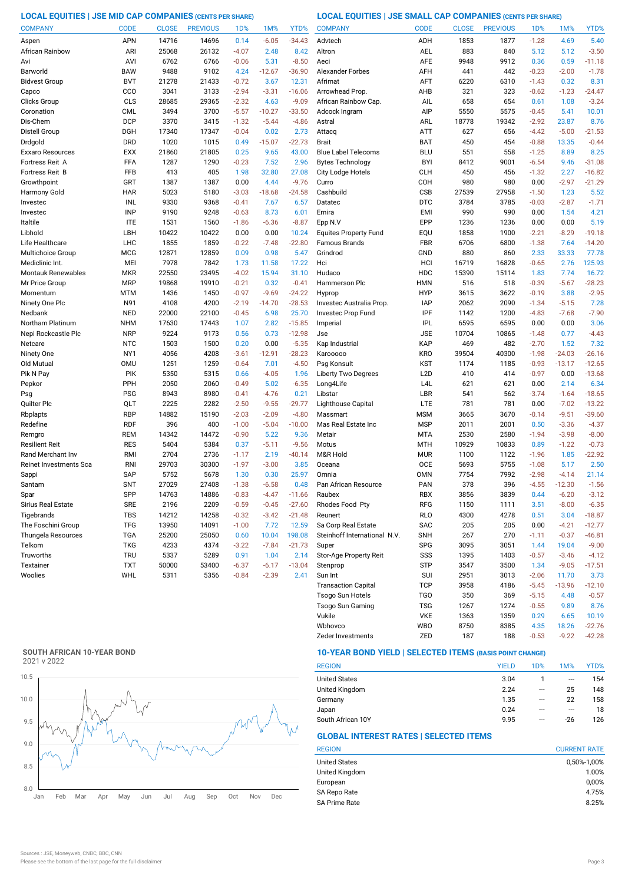**LOCAL EQUITIES | JSE MID CAP COMPANIES (CENTS PER SHARE) LOCAL EQUITIES | JSE SMALL CAP COMPANIES (CENTS PER SHARE)**

| <b>COMPANY</b>            | <b>CODE</b> | <b>CLOSE</b> | <b>PREVIOUS</b> | 1 <sub>D</sub> % | 1M%      | YTD%     | <b>COMPANY</b>               | <b>CODE</b>      | <b>CLOSE</b> | <b>PREVIOUS</b> | 1 <sub>D</sub> % | 1M%      | YTD%     |
|---------------------------|-------------|--------------|-----------------|------------------|----------|----------|------------------------------|------------------|--------------|-----------------|------------------|----------|----------|
| Aspen                     | APN         | 14716        | 14696           | 0.14             | $-6.05$  | $-34.43$ | Advtech                      | ADH              | 1853         | 1877            | $-1.28$          | 4.69     | 5.40     |
| African Rainbow           | ARI         | 25068        | 26132           | $-4.07$          | 2.48     | 8.42     | Altron                       | AEL              | 883          | 840             | 5.12             | 5.12     | $-3.50$  |
| Avi                       | AVI         | 6762         | 6766            | $-0.06$          | 5.31     | $-8.50$  | Aeci                         | <b>AFE</b>       | 9948         | 9912            | 0.36             | 0.59     | $-11.18$ |
| Barworld                  | <b>BAW</b>  | 9488         | 9102            | 4.24             | $-12.67$ | $-36.90$ | <b>Alexander Forbes</b>      | AFH              | 441          | 442             | $-0.23$          | $-2.00$  | $-1.78$  |
| <b>Bidvest Group</b>      | <b>BVT</b>  | 21278        | 21433           | $-0.72$          | 3.67     | 12.31    | Afrimat                      | AFT              | 6220         | 6310            | $-1.43$          | 0.32     | 8.31     |
| Capco                     | CCO         | 3041         | 3133            | $-2.94$          | $-3.31$  | $-16.06$ | Arrowhead Prop               | AHB              | 321          | 323             | $-0.62$          | $-1.23$  | $-24.47$ |
| Clicks Group              | CLS         | 28685        | 29365           | $-2.32$          | 4.63     | $-9.09$  | African Rainbow Cap.         | AIL              | 658          | 654             | 0.61             | 1.08     | $-3.24$  |
| Coronation                | CML         | 3494         | 3700            | $-5.57$          | $-10.27$ | $-33.50$ | Adcock Ingram                | AIP              | 5550         | 5575            | $-0.45$          | 5.41     | 10.01    |
| Dis-Chem                  | <b>DCP</b>  | 3370         | 3415            | $-1.32$          | $-5.44$  | $-4.86$  | Astral                       | ARL              | 18778        | 19342           | $-2.92$          | 23.87    | 8.76     |
| Distell Group             | <b>DGH</b>  | 17340        | 17347           | $-0.04$          | 0.02     | 2.73     | Attacq                       | ATT              | 627          | 656             | $-4.42$          | $-5.00$  | $-21.53$ |
| Drdgold                   | <b>DRD</b>  | 1020         | 1015            | 0.49             | $-15.07$ | $-22.73$ | <b>Brait</b>                 | BAT              | 450          | 454             | $-0.88$          | 13.35    | $-0.44$  |
| Exxaro Resources          | <b>EXX</b>  | 21860        | 21805           | 0.25             | 9.65     | 43.00    | <b>Blue Label Telecoms</b>   | <b>BLU</b>       | 551          | 558             | $-1.25$          | 8.89     | 8.25     |
| Fortress Reit A           | FFA         | 1287         | 1290            | $-0.23$          | 7.52     | 2.96     | <b>Bytes Technology</b>      | <b>BYI</b>       | 8412         | 9001            | $-6.54$          | 9.46     | $-31.08$ |
| Fortress Reit B           | FFB         | 413          | 405             | 1.98             | 32.80    | 27.08    | City Lodge Hotels            | <b>CLH</b>       | 450          | 456             | $-1.32$          | 2.27     | $-16.82$ |
| Growthpoint               | GRT         | 1387         | 1387            | 0.00             | 4.44     | $-9.76$  | Curro                        | COH              | 980          | 980             | 0.00             | $-2.97$  | $-21.29$ |
| Harmony Gold              | <b>HAR</b>  | 5023         | 5180            | $-3.03$          | $-18.68$ | $-24.58$ | Cashbuild                    | CSB              | 27539        | 27958           | $-1.50$          | 1.23     | 5.52     |
| Investec                  | INL         | 9330         | 9368            | $-0.41$          | 7.67     | 6.57     | Datatec                      | <b>DTC</b>       | 3784         | 3785            | $-0.03$          | $-2.87$  | $-1.71$  |
| Investec                  | <b>INP</b>  | 9190         | 9248            | $-0.63$          | 8.73     | 6.01     | Emira                        | <b>EMI</b>       | 990          | 990             | 0.00             | 1.54     | 4.21     |
| Italtile                  | <b>ITE</b>  | 1531         | 1560            | $-1.86$          | $-6.36$  | $-8.87$  | Epp N.V                      | EPP              | 1236         | 1236            | 0.00             | 0.00     | 5.19     |
| Libhold                   | LBH         | 10422        | 10422           | 0.00             | 0.00     | 10.24    | <b>Equites Property Fund</b> | EQU              | 1858         | 1900            | $-2.21$          | $-8.29$  | $-19.18$ |
| Life Healthcare           | <b>LHC</b>  | 1855         | 1859            | $-0.22$          | $-7.48$  | $-22.80$ | <b>Famous Brands</b>         | FBR              | 6706         | 6800            | $-1.38$          | 7.64     | $-14.20$ |
| Multichoice Group         | <b>MCG</b>  | 12871        | 12859           | 0.09             | 0.98     | 5.47     | Grindrod                     | GND              | 880          | 860             | 2.33             | 33.33    | 77.78    |
| Mediclinic Int.           | MEI         | 7978         | 7842            | 1.73             | 11.58    | 17.22    | Hci                          | HCI              | 16719        | 16828           | $-0.65$          | 2.76     | 125.93   |
| <b>Montauk Renewables</b> | <b>MKR</b>  | 22550        | 23495           | $-4.02$          | 15.94    | 31.10    | Hudaco                       | <b>HDC</b>       | 15390        | 15114           | 1.83             | 7.74     | 16.72    |
| Mr Price Group            | <b>MRP</b>  | 19868        | 19910           | $-0.21$          | 0.32     | $-0.41$  | Hammerson Plc                | <b>HMN</b>       | 516          | 518             | $-0.39$          | $-5.67$  | $-28.23$ |
| Momentum                  | MTM         | 1436         | 1450            | $-0.97$          | $-9.69$  | $-24.22$ | Hyprop                       | <b>HYP</b>       | 3615         | 3622            | $-0.19$          | 3.88     | $-2.95$  |
| Ninety One Plc            | N91         | 4108         | 4200            | $-2.19$          | $-14.70$ | $-28.53$ | Investec Australia Prop.     | <b>IAP</b>       | 2062         | 2090            | $-1.34$          | $-5.15$  | 7.28     |
| Nedbank                   | <b>NED</b>  | 22000        | 22100           | $-0.45$          | 6.98     | 25.70    | Investec Prop Fund           | IPF              | 1142         | 1200            | $-4.83$          | $-7.68$  | $-7.90$  |
| Northam Platinum          | <b>NHM</b>  | 17630        | 17443           | 1.07             | 2.82     | $-15.85$ | Imperial                     | <b>IPL</b>       | 6595         | 6595            | 0.00             | 0.00     | 3.06     |
| Nepi Rockcastle Plc       | <b>NRP</b>  | 9224         | 9173            | 0.56             | 0.73     | $-12.98$ | Jse                          | <b>JSE</b>       | 10704        | 10865           | $-1.48$          | 0.77     | $-4.43$  |
| Netcare                   | <b>NTC</b>  | 1503         | 1500            | 0.20             | 0.00     | $-5.35$  | Kap Industrial               | KAP              | 469          | 482             | $-2.70$          | 1.52     | 7.32     |
| Ninety One                | NY1         | 4056         | 4208            | $-3.61$          | $-12.91$ | $-28.23$ | Karooooo                     | <b>KRO</b>       | 39504        | 40300           | $-1.98$          | $-24.03$ | $-26.16$ |
| Old Mutual                | <b>OMU</b>  | 1251         | 1259            | $-0.64$          | 7.01     | $-4.50$  | Psg Konsult                  | <b>KST</b>       | 1174         | 1185            | $-0.93$          | $-13.17$ | $-12.65$ |
| Pik N Pay                 | PIK         | 5350         | 5315            | 0.66             | $-4.05$  | 1.96     | Liberty Two Degrees          | L <sub>2</sub> D | 410          | 414             | $-0.97$          | 0.00     | $-13.68$ |
| Pepkor                    | PPH         | 2050         | 2060            | $-0.49$          | 5.02     | $-6.35$  | Long4Life                    | L <sub>4</sub> L | 621          | 621             | 0.00             | 2.14     | 6.34     |
| Psg                       | <b>PSG</b>  | 8943         | 8980            | $-0.41$          | $-4.76$  | 0.21     | Libstar                      | LBR              | 541          | 562             | $-3.74$          | $-1.64$  | $-18.65$ |
| Quilter Plc               | QLT         | 2225         | 2282            | $-2.50$          | $-9.55$  | $-29.77$ | Lighthouse Capital           | <b>LTE</b>       | 781          | 781             | 0.00             | $-7.02$  | $-13.22$ |
| Rbplapts                  | <b>RBP</b>  | 14882        | 15190           | $-2.03$          | $-2.09$  | $-4.80$  | Massmart                     | <b>MSM</b>       | 3665         | 3670            | $-0.14$          | $-9.51$  | $-39.60$ |
| Redefine                  | <b>RDF</b>  | 396          | 400             | $-1.00$          | $-5.04$  | $-10.00$ | Mas Real Estate Inc          | <b>MSP</b>       | 2011         | 2001            | 0.50             | $-3.36$  | $-4.37$  |
| Remgro                    | <b>REM</b>  | 14342        | 14472           | $-0.90$          | 5.22     | 9.36     | Metair                       | <b>MTA</b>       | 2530         | 2580            | $-1.94$          | $-3.98$  | $-8.00$  |
| Resilient Reit            | <b>RES</b>  | 5404         | 5384            | 0.37             | $-5.11$  | $-9.56$  | Motus                        | <b>MTH</b>       | 10929        | 10833           | 0.89             | $-1.22$  | $-0.73$  |
| Rand Merchant Inv         | RMI         | 2704         | 2736            | $-1.17$          | 2.19     | $-40.14$ | M&R Hold                     | <b>MUR</b>       | 1100         | 1122            | $-1.96$          | 1.85     | $-22.92$ |
| Reinet Investments Sca    | <b>RNI</b>  | 29703        | 30300           | $-1.97$          | $-3.00$  | 3.85     | Oceana                       | OCE              | 5693         | 5755            | $-1.08$          | 5.17     | 2.50     |
| Sappi                     | <b>SAP</b>  | 5752         | 5678            | 1.30             | 0.30     | 25.97    | Omnia                        | <b>OMN</b>       | 7754         | 7992            | $-2.98$          | $-4.14$  | 21.14    |
| Santam                    | <b>SNT</b>  | 27029        | 27408           | $-1.38$          | $-6.58$  | 0.48     | Pan African Resource         | PAN              | 378          | 396             | $-4.55$          | $-12.30$ | $-1.56$  |
| Spar                      | SPP         | 14763        | 14886           | $-0.83$          | $-4.47$  | $-11.66$ | Raubex                       | RBX              | 3856         | 3839            | 0.44             | $-6.20$  | $-3.12$  |
| Sirius Real Estate        | <b>SRE</b>  | 2196         | 2209            | $-0.59$          | $-0.45$  | $-27.60$ | Rhodes Food Pty              | RFG              | 1150         | 1111            | 3.51             | $-8.00$  | $-6.35$  |
| Tigebrands                | <b>TBS</b>  | 14212        | 14258           | $-0.32$          | $-3.42$  | $-21.48$ | Reunert                      | <b>RLO</b>       | 4300         | 4278            | 0.51             | 3.04     | $-18.87$ |
| The Foschini Group        | <b>TFG</b>  | 13950        | 14091           | $-1.00$          | 7.72     | 12.59    | Sa Corp Real Estate          | SAC              | 205          | 205             | 0.00             | $-4.21$  | $-12.77$ |
| Thungela Resources        | <b>TGA</b>  | 25200        | 25050           | 0.60             | 10.04    | 198.08   | Steinhoff International N.V. | <b>SNH</b>       | 267          | 270             | $-1.11$          | $-0.37$  | $-46.81$ |
| Telkom                    | <b>TKG</b>  | 4233         | 4374            | $-3.22$          | $-7.84$  | $-21.73$ | Super                        | <b>SPG</b>       | 3095         | 3051            | 1.44             | 19.04    | $-9.00$  |
| Truworths                 | <b>TRU</b>  | 5337         | 5289            | 0.91             | 1.04     | 2.14     | Stor-Age Property Reit       | SSS              | 1395         | 1403            | $-0.57$          | $-3.46$  | $-4.12$  |
| Textainer                 | <b>TXT</b>  | 50000        | 53400           | $-6.37$          | $-6.17$  | $-13.04$ | Stenprop                     | <b>STP</b>       | 3547         | 3500            | 1.34             | $-9.05$  | $-17.51$ |
| Woolies                   | WHL         | 5311         | 5356            | $-0.84$          | $-2.39$  | 2.41     | Sun Int                      | SUI              | 2951         | 3013            | $-2.06$          | 11.70    | 3.73     |
|                           |             |              |                 |                  |          |          | <b>Transaction Capital</b>   | <b>TCP</b>       | 3958         | 4186            | $-5.45$          | $-13.96$ | $-12.10$ |
|                           |             |              |                 |                  |          |          | <b>Tsogo Sun Hotels</b>      | TGO              | 350          | 369             | $-5.15$          | 4.48     | $-0.57$  |
|                           |             |              |                 |                  |          |          | <b>Tsogo Sun Gaming</b>      | <b>TSG</b>       | 1267         | 1274            | $-0.55$          | 9.89     | 8.76     |
|                           |             |              |                 |                  |          |          | Vukile                       | <b>VKE</b>       | 1363         | 1359            | 0.29             | 6.65     | 10.19    |

# **SOUTH AFRICAN 10-YEAR BOND**



# **10-YEAR BOND YIELD | SELECTED ITEMS (BASIS POINT CHANGE)**

| <b>REGION</b>        | <b>YIELD</b> | 1D%                      | 1M%   | YTD% |
|----------------------|--------------|--------------------------|-------|------|
| <b>United States</b> | 3.04         |                          | ---   | 154  |
| United Kingdom       | 2.24         | $\overline{\phantom{a}}$ | 25    | 148  |
| Germany              | 1.35         | ---                      | 22    | 158  |
| Japan                | 0.24         | $- - -$                  | ---   | 18   |
| South African 10Y    | 9.95         | ---                      | $-26$ | 126  |

Wbhovco WBO 8750 8385 4.35 18.26 -22.76 Vukile VKE 1363 1359 0.29 6.65

Zeder Investments ZED 187 188 -0.53 -9.22 -42.28

# **GLOBAL INTEREST RATES | SELECTED ITEMS**

| <b>REGION</b>        | <b>CURRENT RATE</b> |
|----------------------|---------------------|
| <b>United States</b> | 0,50%-1,00%         |
| United Kingdom       | 1.00%               |
| European             | 0,00%               |
| SA Repo Rate         | 4.75%               |
| <b>SA Prime Rate</b> | 8.25%               |

10.19<br>-22.76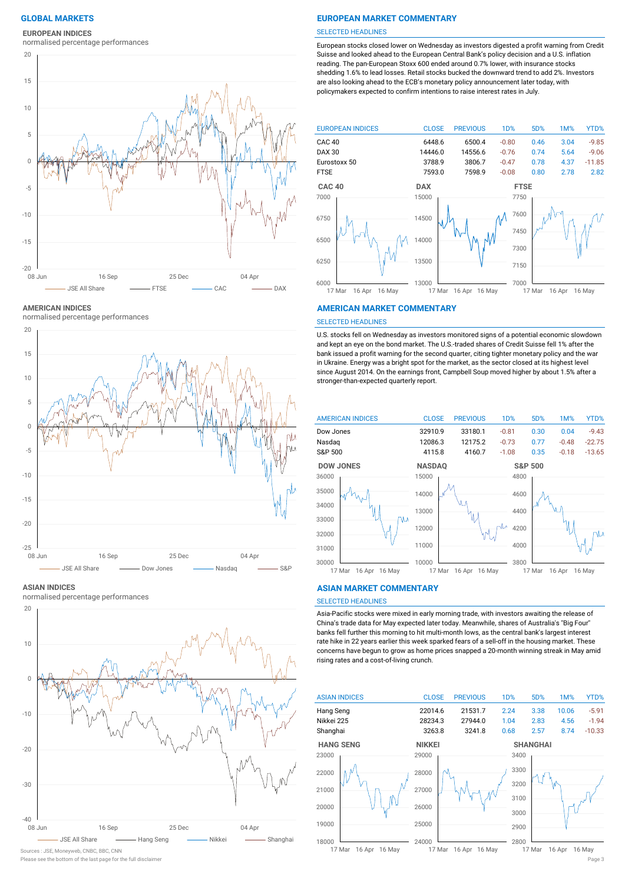# **EUROPEAN INDICES**

normalised percentage performances



**AMERICAN INDICES**

normalised percentage performances



#### **ASIAN INDICES**

normalised percentage performances



Sources : JSE, Moneyweb, CNBC, BBC, CNN

# **GLOBAL MARKETS EUROPEAN MARKET COMMENTARY**

#### SELECTED HEADLINES

European stocks closed lower on Wednesday as investors digested a profit warning from Credit Suisse and looked ahead to the European Central Bank's policy decision and a U.S. inflation reading. The pan-European Stoxx 600 ended around 0.7% lower, with insurance stocks shedding 1.6% to lead losses. Retail stocks bucked the downward trend to add 2%. Investors are also looking ahead to the ECB's monetary policy announcement later today, with policymakers expected to confirm intentions to raise interest rates in July.



#### **AMERICAN MARKET COMMENTARY**

#### SELECTED HEADLINES

U.S. stocks fell on Wednesday as investors monitored signs of a potential economic slowdown and kept an eye on the bond market. The U.S.-traded shares of Credit Suisse fell 1% after the bank issued a profit warning for the second quarter, citing tighter monetary policy and the war in Ukraine. Energy was a bright spot for the market, as the sector closed at its highest level since August 2014. On the earnings front, Campbell Soup moved higher by about 1.5% after a stronger-than-expected quarterly report.



#### **ASIAN MARKET COMMENTARY**

### SELECTED HEADLINES

Asia-Pacific stocks were mixed in early morning trade, with investors awaiting the release of China's trade data for May expected later today. Meanwhile, shares of Australia's "Big Four" banks fell further this morning to hit multi-month lows, as the central bank's largest interest rate hike in 22 years earlier this week sparked fears of a sell-off in the housing market. These concerns have begun to grow as home prices snapped a 20-month winning streak in May amid rising rates and a cost-of-living crunch.



Please see the bottom of the last page for the full disclaimer Page 3